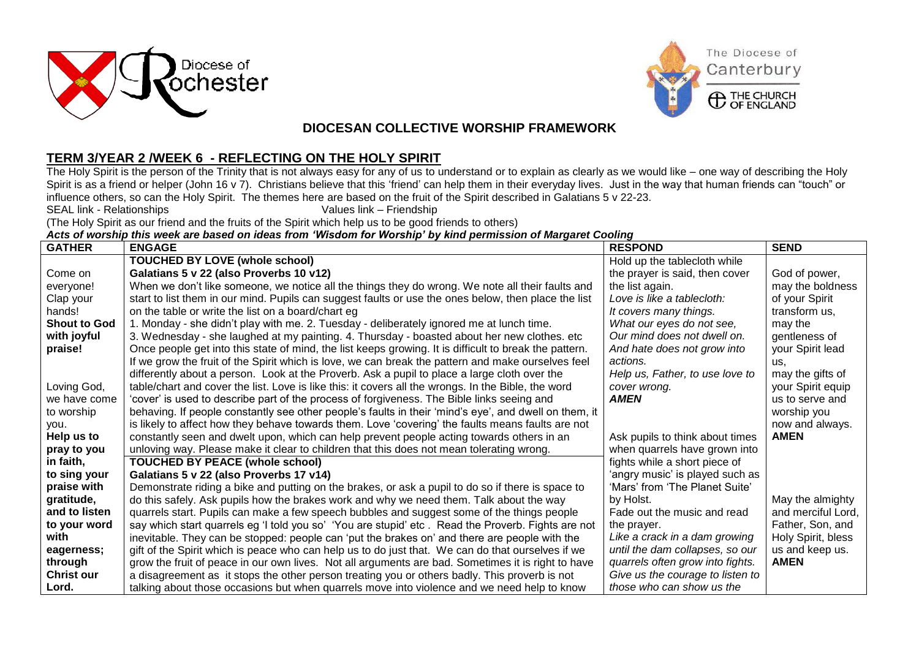



## **DIOCESAN COLLECTIVE WORSHIP FRAMEWORK**

## **TERM 3/YEAR 2 /WEEK 6 - REFLECTING ON THE HOLY SPIRIT**

The Holy Spirit is the person of the Trinity that is not always easy for any of us to understand or to explain as clearly as we would like – one way of describing the Holy Spirit is as a friend or helper (John 16 v 7). Christians believe that this 'friend' can help them in their everyday lives. Just in the way that human friends can "touch" or influence others, so can the Holy Spirit. The themes here are based on the fruit of the Spirit described in Galatians 5 v 22-23.

SEAL link - Relationships

(The Holy Spirit as our friend and the fruits of the Spirit which help us to be good friends to others)

## *Acts of worship this week are based on ideas from 'Wisdom for Worship' by kind permission of Margaret Cooling*

| <b>GATHER</b>       | <b>ENGAGE</b>                                                                                          | <b>RESPOND</b>                   | <b>SEND</b>        |
|---------------------|--------------------------------------------------------------------------------------------------------|----------------------------------|--------------------|
|                     | <b>TOUCHED BY LOVE (whole school)</b>                                                                  | Hold up the tablecloth while     |                    |
| Come on             | Galatians 5 v 22 (also Proverbs 10 v12)                                                                | the prayer is said, then cover   | God of power,      |
| everyone!           | When we don't like someone, we notice all the things they do wrong. We note all their faults and       | the list again.                  | may the boldness   |
| Clap your           | start to list them in our mind. Pupils can suggest faults or use the ones below, then place the list   | Love is like a tablecloth:       | of your Spirit     |
| hands!              | on the table or write the list on a board/chart eg                                                     | It covers many things.           | transform us,      |
| <b>Shout to God</b> | 1. Monday - she didn't play with me. 2. Tuesday - deliberately ignored me at lunch time.               | What our eyes do not see,        | may the            |
| with joyful         | 3. Wednesday - she laughed at my painting. 4. Thursday - boasted about her new clothes. etc            | Our mind does not dwell on.      | gentleness of      |
| praise!             | Once people get into this state of mind, the list keeps growing. It is difficult to break the pattern. | And hate does not grow into      | your Spirit lead   |
|                     | If we grow the fruit of the Spirit which is love, we can break the pattern and make ourselves feel     | actions.                         | us.                |
|                     | differently about a person. Look at the Proverb. Ask a pupil to place a large cloth over the           | Help us, Father, to use love to  | may the gifts of   |
| Loving God,         | table/chart and cover the list. Love is like this: it covers all the wrongs. In the Bible, the word    | cover wrong.                     | your Spirit equip  |
| we have come        | 'cover' is used to describe part of the process of forgiveness. The Bible links seeing and             | <b>AMEN</b>                      | us to serve and    |
| to worship          | behaving. If people constantly see other people's faults in their 'mind's eye', and dwell on them, it  |                                  | worship you        |
| you.                | is likely to affect how they behave towards them. Love 'covering' the faults means faults are not      |                                  | now and always.    |
| Help us to          | constantly seen and dwelt upon, which can help prevent people acting towards others in an              | Ask pupils to think about times  | <b>AMEN</b>        |
| pray to you         | unloving way. Please make it clear to children that this does not mean tolerating wrong.               | when quarrels have grown into    |                    |
| in faith,           | <b>TOUCHED BY PEACE (whole school)</b>                                                                 | fights while a short piece of    |                    |
| to sing your        | Galatians 5 v 22 (also Proverbs 17 v14)                                                                | 'angry music' is played such as  |                    |
| praise with         | Demonstrate riding a bike and putting on the brakes, or ask a pupil to do so if there is space to      | 'Mars' from 'The Planet Suite'   |                    |
| gratitude,          | do this safely. Ask pupils how the brakes work and why we need them. Talk about the way                | by Holst.                        | May the almighty   |
| and to listen       | quarrels start. Pupils can make a few speech bubbles and suggest some of the things people             | Fade out the music and read      | and merciful Lord, |
| to your word        | say which start quarrels eg 'I told you so' 'You are stupid' etc. Read the Proverb. Fights are not     | the prayer.                      | Father, Son, and   |
| with                | inevitable. They can be stopped: people can 'put the brakes on' and there are people with the          | Like a crack in a dam growing    | Holy Spirit, bless |
| eagerness;          | gift of the Spirit which is peace who can help us to do just that. We can do that ourselves if we      | until the dam collapses, so our  | us and keep us.    |
| through             | grow the fruit of peace in our own lives. Not all arguments are bad. Sometimes it is right to have     | quarrels often grow into fights. | <b>AMEN</b>        |
| <b>Christ our</b>   | a disagreement as it stops the other person treating you or others badly. This proverb is not          | Give us the courage to listen to |                    |
| Lord.               | talking about those occasions but when quarrels move into violence and we need help to know            | those who can show us the        |                    |